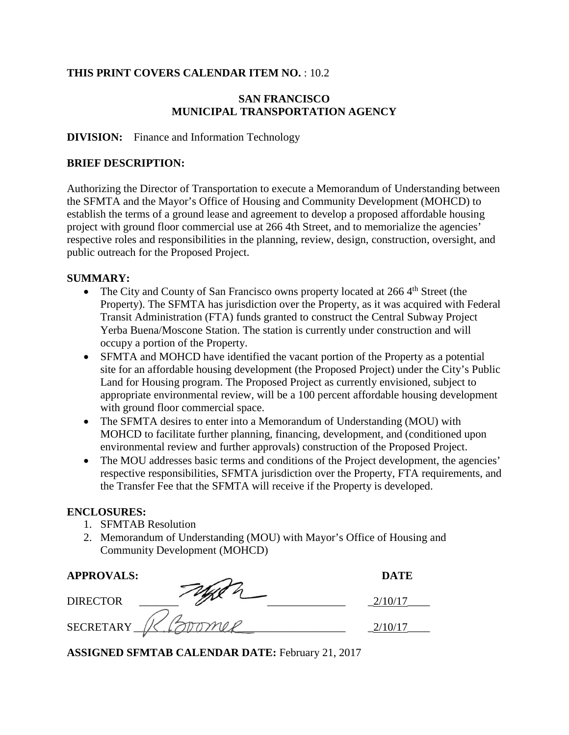## **THIS PRINT COVERS CALENDAR ITEM NO.** : 10.2

## **SAN FRANCISCO MUNICIPAL TRANSPORTATION AGENCY**

#### **DIVISION:** Finance and Information Technology

#### **BRIEF DESCRIPTION:**

Authorizing the Director of Transportation to execute a Memorandum of Understanding between the SFMTA and the Mayor's Office of Housing and Community Development (MOHCD) to establish the terms of a ground lease and agreement to develop a proposed affordable housing project with ground floor commercial use at 266 4th Street, and to memorialize the agencies' respective roles and responsibilities in the planning, review, design, construction, oversight, and public outreach for the Proposed Project.

#### **SUMMARY:**

- The City and County of San Francisco owns property located at  $266\,4<sup>th</sup>$  Street (the Property). The SFMTA has jurisdiction over the Property, as it was acquired with Federal Transit Administration (FTA) funds granted to construct the Central Subway Project Yerba Buena/Moscone Station. The station is currently under construction and will occupy a portion of the Property.
- SFMTA and MOHCD have identified the vacant portion of the Property as a potential site for an affordable housing development (the Proposed Project) under the City's Public Land for Housing program. The Proposed Project as currently envisioned, subject to appropriate environmental review, will be a 100 percent affordable housing development with ground floor commercial space.
- The SFMTA desires to enter into a Memorandum of Understanding (MOU) with MOHCD to facilitate further planning, financing, development, and (conditioned upon environmental review and further approvals) construction of the Proposed Project.
- The MOU addresses basic terms and conditions of the Project development, the agencies' respective responsibilities, SFMTA jurisdiction over the Property, FTA requirements, and the Transfer Fee that the SFMTA will receive if the Property is developed.

#### **ENCLOSURES:**

- 1. SFMTAB Resolution
- 2. Memorandum of Understanding (MOU) with Mayor's Office of Housing and Community Development (MOHCD)

| <b>APPROVALS:</b> | <b>DATE</b> |
|-------------------|-------------|
| <b>DIRECTOR</b>   |             |
| <b>SECRETARY</b>  |             |

**ASSIGNED SFMTAB CALENDAR DATE:** February 21, 2017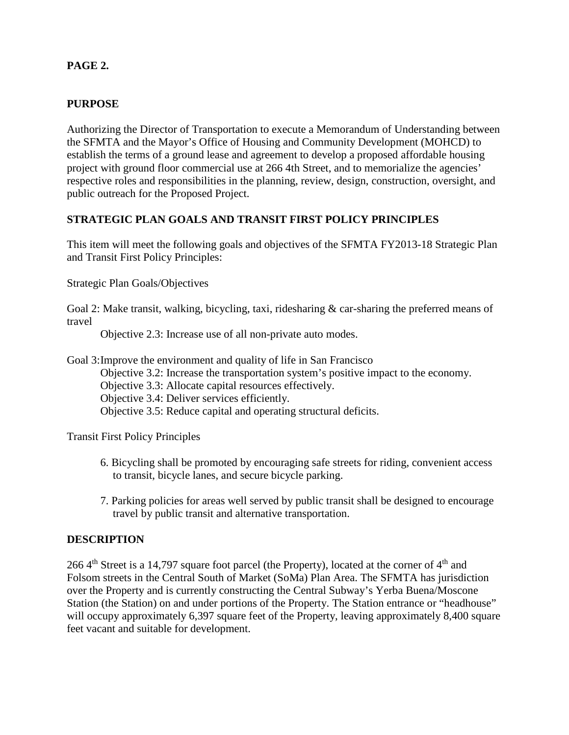## **PAGE 2.**

## **PURPOSE**

Authorizing the Director of Transportation to execute a Memorandum of Understanding between the SFMTA and the Mayor's Office of Housing and Community Development (MOHCD) to establish the terms of a ground lease and agreement to develop a proposed affordable housing project with ground floor commercial use at 266 4th Street, and to memorialize the agencies' respective roles and responsibilities in the planning, review, design, construction, oversight, and public outreach for the Proposed Project.

## **STRATEGIC PLAN GOALS AND TRANSIT FIRST POLICY PRINCIPLES**

This item will meet the following goals and objectives of the SFMTA FY2013-18 Strategic Plan and Transit First Policy Principles:

Strategic Plan Goals/Objectives

Goal 2: Make transit, walking, bicycling, taxi, ridesharing & car-sharing the preferred means of travel

Objective 2.3: Increase use of all non-private auto modes.

Goal 3:Improve the environment and quality of life in San Francisco

Objective 3.2: Increase the transportation system's positive impact to the economy.

Objective 3.3: Allocate capital resources effectively.

Objective 3.4: Deliver services efficiently.

Objective 3.5: Reduce capital and operating structural deficits.

Transit First Policy Principles

- 6. Bicycling shall be promoted by encouraging safe streets for riding, convenient access to transit, bicycle lanes, and secure bicycle parking.
- 7. Parking policies for areas well served by public transit shall be designed to encourage travel by public transit and alternative transportation.

#### **DESCRIPTION**

266  $4<sup>th</sup>$  Street is a 14,797 square foot parcel (the Property), located at the corner of  $4<sup>th</sup>$  and Folsom streets in the Central South of Market (SoMa) Plan Area. The SFMTA has jurisdiction over the Property and is currently constructing the Central Subway's Yerba Buena/Moscone Station (the Station) on and under portions of the Property. The Station entrance or "headhouse" will occupy approximately 6,397 square feet of the Property, leaving approximately 8,400 square feet vacant and suitable for development.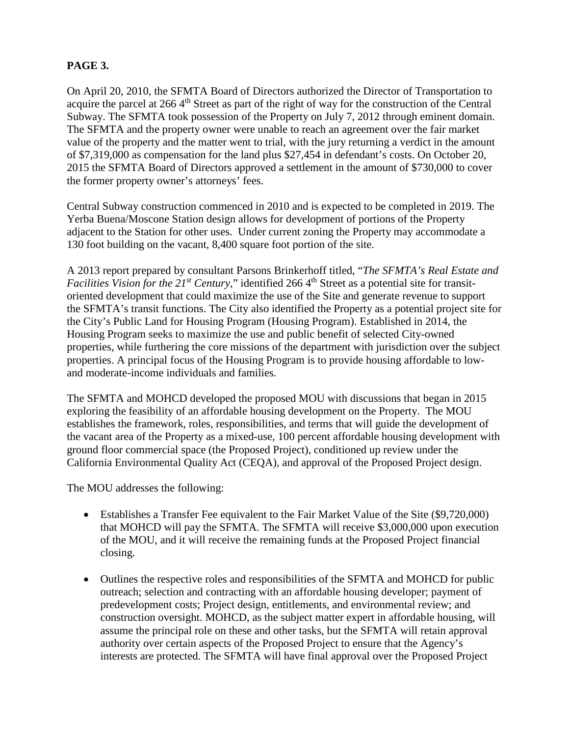# **PAGE 3.**

On April 20, 2010, the SFMTA Board of Directors authorized the Director of Transportation to acquire the parcel at 266 4<sup>th</sup> Street as part of the right of way for the construction of the Central Subway. The SFMTA took possession of the Property on July 7, 2012 through eminent domain. The SFMTA and the property owner were unable to reach an agreement over the fair market value of the property and the matter went to trial, with the jury returning a verdict in the amount of \$7,319,000 as compensation for the land plus \$27,454 in defendant's costs. On October 20, 2015 the SFMTA Board of Directors approved a settlement in the amount of \$730,000 to cover the former property owner's attorneys' fees.

Central Subway construction commenced in 2010 and is expected to be completed in 2019. The Yerba Buena/Moscone Station design allows for development of portions of the Property adjacent to the Station for other uses. Under current zoning the Property may accommodate a 130 foot building on the vacant, 8,400 square foot portion of the site.

A 2013 report prepared by consultant Parsons Brinkerhoff titled, "*The SFMTA's Real Estate and Facilities Vision for the 21<sup>st</sup> Century,*" identified 266 4<sup>th</sup> Street as a potential site for transitoriented development that could maximize the use of the Site and generate revenue to support the SFMTA's transit functions. The City also identified the Property as a potential project site for the City's Public Land for Housing Program (Housing Program). Established in 2014, the Housing Program seeks to maximize the use and public benefit of selected City-owned properties, while furthering the core missions of the department with jurisdiction over the subject properties. A principal focus of the Housing Program is to provide housing affordable to lowand moderate-income individuals and families.

The SFMTA and MOHCD developed the proposed MOU with discussions that began in 2015 exploring the feasibility of an affordable housing development on the Property. The MOU establishes the framework, roles, responsibilities, and terms that will guide the development of the vacant area of the Property as a mixed-use, 100 percent affordable housing development with ground floor commercial space (the Proposed Project), conditioned up review under the California Environmental Quality Act (CEQA), and approval of the Proposed Project design.

The MOU addresses the following:

- Establishes a Transfer Fee equivalent to the Fair Market Value of the Site (\$9,720,000) that MOHCD will pay the SFMTA. The SFMTA will receive \$3,000,000 upon execution of the MOU, and it will receive the remaining funds at the Proposed Project financial closing.
- Outlines the respective roles and responsibilities of the SFMTA and MOHCD for public outreach; selection and contracting with an affordable housing developer; payment of predevelopment costs; Project design, entitlements, and environmental review; and construction oversight. MOHCD, as the subject matter expert in affordable housing, will assume the principal role on these and other tasks, but the SFMTA will retain approval authority over certain aspects of the Proposed Project to ensure that the Agency's interests are protected. The SFMTA will have final approval over the Proposed Project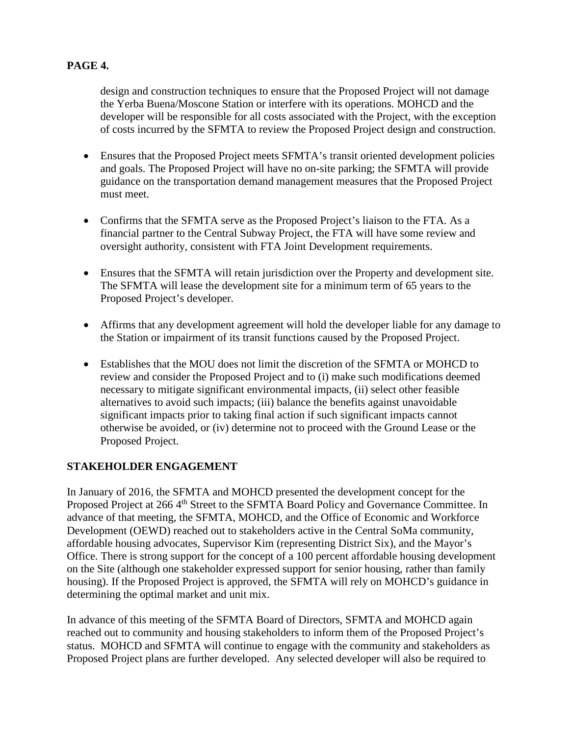# **PAGE 4.**

design and construction techniques to ensure that the Proposed Project will not damage the Yerba Buena/Moscone Station or interfere with its operations. MOHCD and the developer will be responsible for all costs associated with the Project, with the exception of costs incurred by the SFMTA to review the Proposed Project design and construction.

- Ensures that the Proposed Project meets SFMTA's transit oriented development policies and goals. The Proposed Project will have no on-site parking; the SFMTA will provide guidance on the transportation demand management measures that the Proposed Project must meet.
- Confirms that the SFMTA serve as the Proposed Project's liaison to the FTA. As a financial partner to the Central Subway Project, the FTA will have some review and oversight authority, consistent with FTA Joint Development requirements.
- Ensures that the SFMTA will retain jurisdiction over the Property and development site. The SFMTA will lease the development site for a minimum term of 65 years to the Proposed Project's developer.
- Affirms that any development agreement will hold the developer liable for any damage to the Station or impairment of its transit functions caused by the Proposed Project.
- Establishes that the MOU does not limit the discretion of the SFMTA or MOHCD to review and consider the Proposed Project and to (i) make such modifications deemed necessary to mitigate significant environmental impacts, (ii) select other feasible alternatives to avoid such impacts; (iii) balance the benefits against unavoidable significant impacts prior to taking final action if such significant impacts cannot otherwise be avoided, or (iv) determine not to proceed with the Ground Lease or the Proposed Project.

## **STAKEHOLDER ENGAGEMENT**

In January of 2016, the SFMTA and MOHCD presented the development concept for the Proposed Project at 266 4<sup>th</sup> Street to the SFMTA Board Policy and Governance Committee. In advance of that meeting, the SFMTA, MOHCD, and the Office of Economic and Workforce Development (OEWD) reached out to stakeholders active in the Central SoMa community, affordable housing advocates, Supervisor Kim (representing District Six), and the Mayor's Office. There is strong support for the concept of a 100 percent affordable housing development on the Site (although one stakeholder expressed support for senior housing, rather than family housing). If the Proposed Project is approved, the SFMTA will rely on MOHCD's guidance in determining the optimal market and unit mix.

In advance of this meeting of the SFMTA Board of Directors, SFMTA and MOHCD again reached out to community and housing stakeholders to inform them of the Proposed Project's status. MOHCD and SFMTA will continue to engage with the community and stakeholders as Proposed Project plans are further developed. Any selected developer will also be required to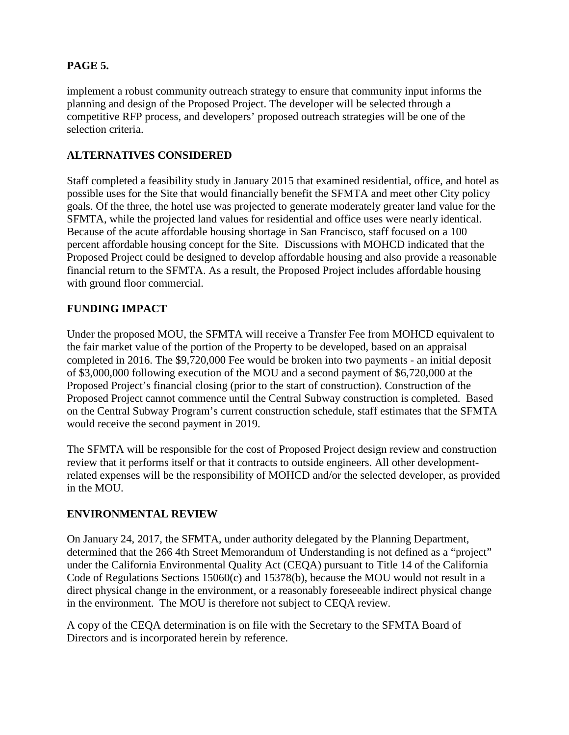# **PAGE 5.**

implement a robust community outreach strategy to ensure that community input informs the planning and design of the Proposed Project. The developer will be selected through a competitive RFP process, and developers' proposed outreach strategies will be one of the selection criteria.

# **ALTERNATIVES CONSIDERED**

Staff completed a feasibility study in January 2015 that examined residential, office, and hotel as possible uses for the Site that would financially benefit the SFMTA and meet other City policy goals. Of the three, the hotel use was projected to generate moderately greater land value for the SFMTA, while the projected land values for residential and office uses were nearly identical. Because of the acute affordable housing shortage in San Francisco, staff focused on a 100 percent affordable housing concept for the Site. Discussions with MOHCD indicated that the Proposed Project could be designed to develop affordable housing and also provide a reasonable financial return to the SFMTA. As a result, the Proposed Project includes affordable housing with ground floor commercial.

# **FUNDING IMPACT**

Under the proposed MOU, the SFMTA will receive a Transfer Fee from MOHCD equivalent to the fair market value of the portion of the Property to be developed, based on an appraisal completed in 2016. The \$9,720,000 Fee would be broken into two payments - an initial deposit of \$3,000,000 following execution of the MOU and a second payment of \$6,720,000 at the Proposed Project's financial closing (prior to the start of construction). Construction of the Proposed Project cannot commence until the Central Subway construction is completed. Based on the Central Subway Program's current construction schedule, staff estimates that the SFMTA would receive the second payment in 2019.

The SFMTA will be responsible for the cost of Proposed Project design review and construction review that it performs itself or that it contracts to outside engineers. All other developmentrelated expenses will be the responsibility of MOHCD and/or the selected developer, as provided in the MOU.

## **ENVIRONMENTAL REVIEW**

On January 24, 2017, the SFMTA, under authority delegated by the Planning Department, determined that the 266 4th Street Memorandum of Understanding is not defined as a "project" under the California Environmental Quality Act (CEQA) pursuant to Title 14 of the California Code of Regulations Sections 15060(c) and 15378(b), because the MOU would not result in a direct physical change in the environment, or a reasonably foreseeable indirect physical change in the environment. The MOU is therefore not subject to CEQA review.

A copy of the CEQA determination is on file with the Secretary to the SFMTA Board of Directors and is incorporated herein by reference.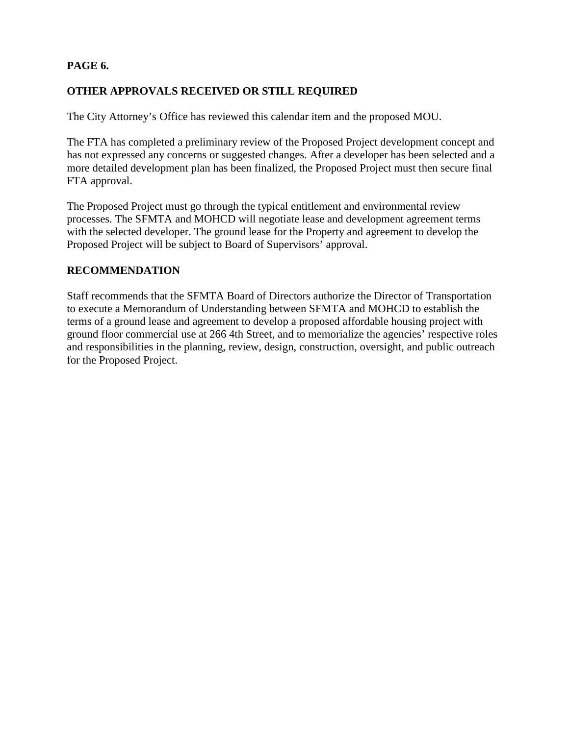# **PAGE 6.**

# **OTHER APPROVALS RECEIVED OR STILL REQUIRED**

The City Attorney's Office has reviewed this calendar item and the proposed MOU.

The FTA has completed a preliminary review of the Proposed Project development concept and has not expressed any concerns or suggested changes. After a developer has been selected and a more detailed development plan has been finalized, the Proposed Project must then secure final FTA approval.

The Proposed Project must go through the typical entitlement and environmental review processes. The SFMTA and MOHCD will negotiate lease and development agreement terms with the selected developer. The ground lease for the Property and agreement to develop the Proposed Project will be subject to Board of Supervisors' approval.

## **RECOMMENDATION**

Staff recommends that the SFMTA Board of Directors authorize the Director of Transportation to execute a Memorandum of Understanding between SFMTA and MOHCD to establish the terms of a ground lease and agreement to develop a proposed affordable housing project with ground floor commercial use at 266 4th Street, and to memorialize the agencies' respective roles and responsibilities in the planning, review, design, construction, oversight, and public outreach for the Proposed Project.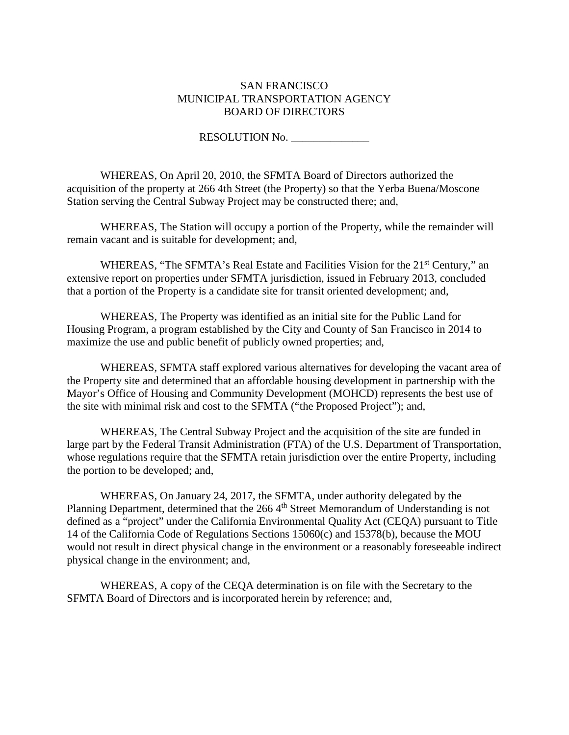#### SAN FRANCISCO MUNICIPAL TRANSPORTATION AGENCY BOARD OF DIRECTORS

RESOLUTION No.

WHEREAS, On April 20, 2010, the SFMTA Board of Directors authorized the acquisition of the property at 266 4th Street (the Property) so that the Yerba Buena/Moscone Station serving the Central Subway Project may be constructed there; and,

WHEREAS, The Station will occupy a portion of the Property, while the remainder will remain vacant and is suitable for development; and,

WHEREAS, "The SFMTA's Real Estate and Facilities Vision for the 21<sup>st</sup> Century," an extensive report on properties under SFMTA jurisdiction, issued in February 2013, concluded that a portion of the Property is a candidate site for transit oriented development; and,

WHEREAS, The Property was identified as an initial site for the Public Land for Housing Program, a program established by the City and County of San Francisco in 2014 to maximize the use and public benefit of publicly owned properties; and,

WHEREAS, SFMTA staff explored various alternatives for developing the vacant area of the Property site and determined that an affordable housing development in partnership with the Mayor's Office of Housing and Community Development (MOHCD) represents the best use of the site with minimal risk and cost to the SFMTA ("the Proposed Project"); and,

WHEREAS, The Central Subway Project and the acquisition of the site are funded in large part by the Federal Transit Administration (FTA) of the U.S. Department of Transportation, whose regulations require that the SFMTA retain jurisdiction over the entire Property, including the portion to be developed; and,

WHEREAS, On January 24, 2017, the SFMTA, under authority delegated by the Planning Department, determined that the 266 4<sup>th</sup> Street Memorandum of Understanding is not defined as a "project" under the California Environmental Quality Act (CEQA) pursuant to Title 14 of the California Code of Regulations Sections 15060(c) and 15378(b), because the MOU would not result in direct physical change in the environment or a reasonably foreseeable indirect physical change in the environment; and,

WHEREAS, A copy of the CEQA determination is on file with the Secretary to the SFMTA Board of Directors and is incorporated herein by reference; and,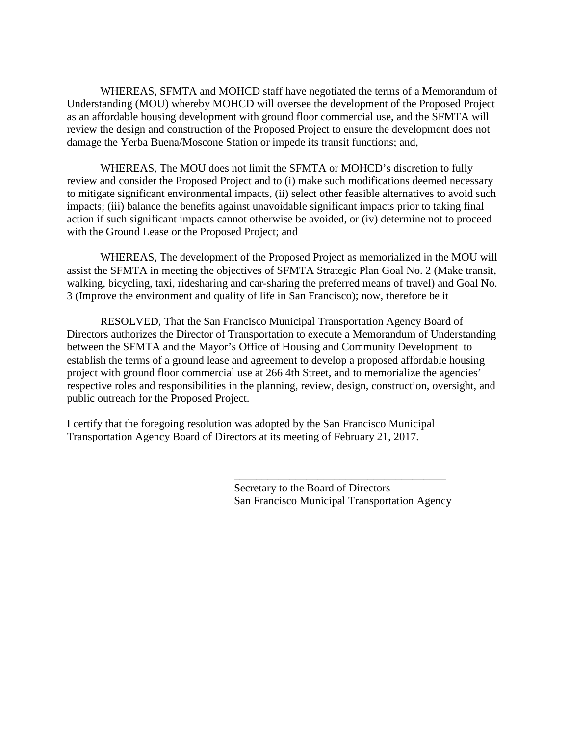WHEREAS, SFMTA and MOHCD staff have negotiated the terms of a Memorandum of Understanding (MOU) whereby MOHCD will oversee the development of the Proposed Project as an affordable housing development with ground floor commercial use, and the SFMTA will review the design and construction of the Proposed Project to ensure the development does not damage the Yerba Buena/Moscone Station or impede its transit functions; and,

WHEREAS, The MOU does not limit the SFMTA or MOHCD's discretion to fully review and consider the Proposed Project and to (i) make such modifications deemed necessary to mitigate significant environmental impacts, (ii) select other feasible alternatives to avoid such impacts; (iii) balance the benefits against unavoidable significant impacts prior to taking final action if such significant impacts cannot otherwise be avoided, or (iv) determine not to proceed with the Ground Lease or the Proposed Project; and

WHEREAS, The development of the Proposed Project as memorialized in the MOU will assist the SFMTA in meeting the objectives of SFMTA Strategic Plan Goal No. 2 (Make transit, walking, bicycling, taxi, ridesharing and car-sharing the preferred means of travel) and Goal No. 3 (Improve the environment and quality of life in San Francisco); now, therefore be it

RESOLVED, That the San Francisco Municipal Transportation Agency Board of Directors authorizes the Director of Transportation to execute a Memorandum of Understanding between the SFMTA and the Mayor's Office of Housing and Community Development to establish the terms of a ground lease and agreement to develop a proposed affordable housing project with ground floor commercial use at 266 4th Street, and to memorialize the agencies' respective roles and responsibilities in the planning, review, design, construction, oversight, and public outreach for the Proposed Project.

I certify that the foregoing resolution was adopted by the San Francisco Municipal Transportation Agency Board of Directors at its meeting of February 21, 2017.

> Secretary to the Board of Directors San Francisco Municipal Transportation Agency

\_\_\_\_\_\_\_\_\_\_\_\_\_\_\_\_\_\_\_\_\_\_\_\_\_\_\_\_\_\_\_\_\_\_\_\_\_\_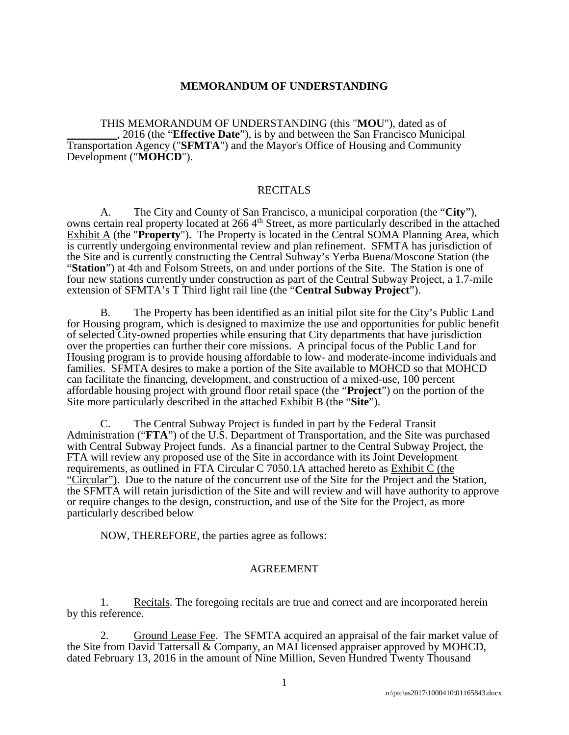#### **MEMORANDUM OF UNDERSTANDING**

THIS MEMORANDUM OF UNDERSTANDING (this "**MOU**"), dated as of \_\_\_\_\_\_\_\_\_, 2016 (the "**Effective Date**"), is by and between the San Francisco Municipal Transportation Agency ("**SFMTA**") and the Mayor's Office of Housing and Community Development ("**MOHCD**").

#### **RECITALS**

A. The City and County of San Francisco, a municipal corporation (the "**City**"), owns certain real property located at 266 4th Street, as more particularly described in the attached  $\overline{\text{Exhibit A}}$  (the "**Property**"). The Property is located in the Central SOMA Planning Area, which is currently undergoing environmental review and plan refinement. SFMTA has jurisdiction of the Site and is currently constructing the Central Subway's Yerba Buena/Moscone Station (the "**Station**") at 4th and Folsom Streets, on and under portions of the Site. The Station is one of four new stations currently under construction as part of the Central Subway Project, a 1.7-mile extension of SFMTA's T Third light rail line (the "**Central Subway Project**").

B. The Property has been identified as an initial pilot site for the City's Public Land for Housing program, which is designed to maximize the use and opportunities for public benefit of selected City-owned properties while ensuring that City departments that have jurisdiction over the properties can further their core missions. A principal focus of the Public Land for Housing program is to provide housing affordable to low- and moderate-income individuals and families. SFMTA desires to make a portion of the Site available to MOHCD so that MOHCD can facilitate the financing, development, and construction of a mixed-use, 100 percent affordable housing project with ground floor retail space (the "**Project**") on the portion of the Site more particularly described in the attached Exhibit B (the "**Site**").

C. The Central Subway Project is funded in part by the Federal Transit Administration ("**FTA**") of the U.S. Department of Transportation, and the Site was purchased with Central Subway Project funds. As a financial partner to the Central Subway Project, the FTA will review any proposed use of the Site in accordance with its Joint Development requirements, as outlined in FTA Circular C 7050.1A attached hereto as Exhibit C (the "Circular"). Due to the nature of the concurrent use of the Site for the Project and the Station, the SFMTA will retain jurisdiction of the Site and will review and will have authority to approve or require changes to the design, construction, and use of the Site for the Project, as more particularly described below

NOW, THEREFORE, the parties agree as follows:

#### AGREEMENT

1. Recitals. The foregoing recitals are true and correct and are incorporated herein by this reference.

2. Ground Lease Fee. The SFMTA acquired an appraisal of the fair market value of the Site from David Tattersall & Company, an MAI licensed appraiser approved by MOHCD, dated February 13, 2016 in the amount of Nine Million, Seven Hundred Twenty Thousand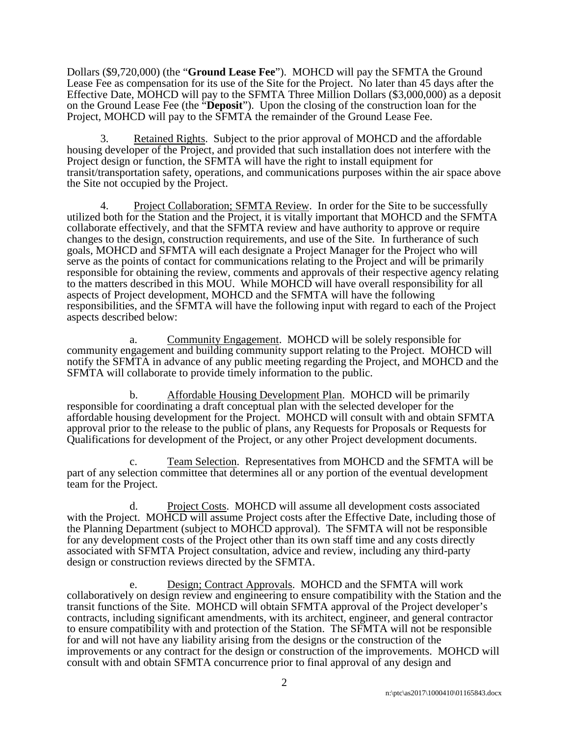Dollars (\$9,720,000) (the "**Ground Lease Fee**"). MOHCD will pay the SFMTA the Ground Lease Fee as compensation for its use of the Site for the Project. No later than 45 days after the Effective Date, MOHCD will pay to the SFMTA Three Million Dollars (\$3,000,000) as a deposit on the Ground Lease Fee (the "**Deposit**"). Upon the closing of the construction loan for the Project, MOHCD will pay to the SFMTA the remainder of the Ground Lease Fee.

3. Retained Rights. Subject to the prior approval of MOHCD and the affordable housing developer of the Project, and provided that such installation does not interfere with the Project design or function, the SFMTA will have the right to install equipment for transit/transportation safety, operations, and communications purposes within the air space above the Site not occupied by the Project.

4. Project Collaboration; SFMTA Review. In order for the Site to be successfully utilized both for the Station and the Project, it is vitally important that MOHCD and the SFMTA collaborate effectively, and that the SFMTA review and have authority to approve or require changes to the design, construction requirements, and use of the Site. In furtherance of such goals, MOHCD and SFMTA will each designate a Project Manager for the Project who will serve as the points of contact for communications relating to the Project and will be primarily responsible for obtaining the review, comments and approvals of their respective agency relating to the matters described in this MOU. While MOHCD will have overall responsibility for all aspects of Project development, MOHCD and the SFMTA will have the following responsibilities, and the SFMTA will have the following input with regard to each of the Project aspects described below:

a. Community Engagement. MOHCD will be solely responsible for community engagement and building community support relating to the Project. MOHCD will notify the SFMTA in advance of any public meeting regarding the Project, and MOHCD and the SFMTA will collaborate to provide timely information to the public.

b. Affordable Housing Development Plan. MOHCD will be primarily responsible for coordinating a draft conceptual plan with the selected developer for the affordable housing development for the Project. MOHCD will consult with and obtain SFMTA approval prior to the release to the public of plans, any Requests for Proposals or Requests for Qualifications for development of the Project, or any other Project development documents.

c. Team Selection. Representatives from MOHCD and the SFMTA will be part of any selection committee that determines all or any portion of the eventual development team for the Project.

d. Project Costs. MOHCD will assume all development costs associated with the Project. MOHCD will assume Project costs after the Effective Date, including those of the Planning Department (subject to MOHCD approval). The SFMTA will not be responsible for any development costs of the Project other than its own staff time and any costs directly associated with SFMTA Project consultation, advice and review, including any third-party design or construction reviews directed by the SFMTA.

e. Design; Contract Approvals. MOHCD and the SFMTA will work collaboratively on design review and engineering to ensure compatibility with the Station and the transit functions of the Site. MOHCD will obtain SFMTA approval of the Project developer's contracts, including significant amendments, with its architect, engineer, and general contractor to ensure compatibility with and protection of the Station. The SFMTA will not be responsible for and will not have any liability arising from the designs or the construction of the improvements or any contract for the design or construction of the improvements. MOHCD will consult with and obtain SFMTA concurrence prior to final approval of any design and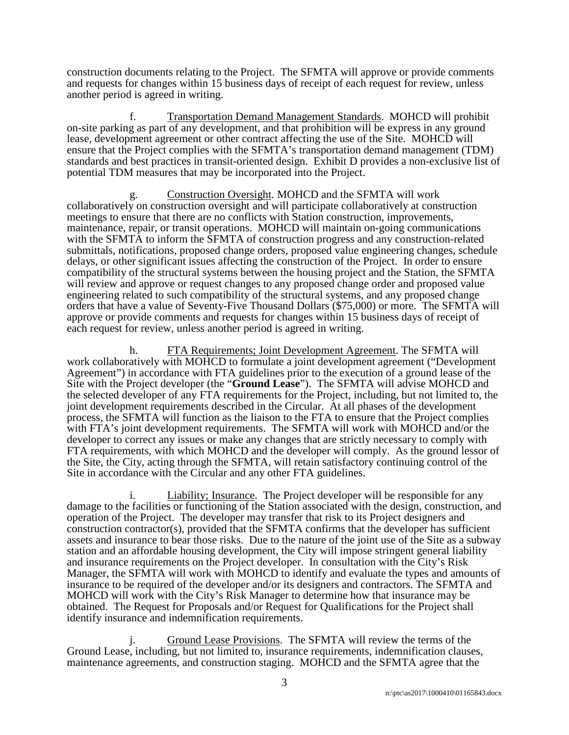construction documents relating to the Project. The SFMTA will approve or provide comments and requests for changes within 15 business days of receipt of each request for review, unless another period is agreed in writing.

f. Transportation Demand Management Standards. MOHCD will prohibit on-site parking as part of any development, and that prohibition will be express in any ground lease, development agreement or other contract affecting the use of the Site. MOHCD will ensure that the Project complies with the SFMTA's transportation demand management (TDM) standards and best practices in transit-oriented design. Exhibit D provides a non-exclusive list of potential TDM measures that may be incorporated into the Project.

g. Construction Oversight. MOHCD and the SFMTA will work collaboratively on construction oversight and will participate collaboratively at construction meetings to ensure that there are no conflicts with Station construction, improvements, maintenance, repair, or transit operations. MOHCD will maintain on-going communications with the SFMTA to inform the SFMTA of construction progress and any construction-related submittals, notifications, proposed change orders, proposed value engineering changes, schedule delays, or other significant issues affecting the construction of the Project. In order to ensure compatibility of the structural systems between the housing project and the Station, the SFMTA will review and approve or request changes to any proposed change order and proposed value engineering related to such compatibility of the structural systems, and any proposed change orders that have a value of Seventy-Five Thousand Dollars (\$75,000) or more. The SFMTA will approve or provide comments and requests for changes within 15 business days of receipt of each request for review, unless another period is agreed in writing.

h. FTA Requirements; Joint Development Agreement. The SFMTA will work collaboratively with MOHCD to formulate a joint development agreement ("Development Agreement") in accordance with FTA guidelines prior to the execution of a ground lease of the Site with the Project developer (the "**Ground Lease**"). The SFMTA will advise MOHCD and the selected developer of any FTA requirements for the Project, including, but not limited to, the joint development requirements described in the Circular. At all phases of the development process, the SFMTA will function as the liaison to the FTA to ensure that the Project complies with FTA's joint development requirements. The SFMTA will work with MOHCD and/or the developer to correct any issues or make any changes that are strictly necessary to comply with FTA requirements, with which MOHCD and the developer will comply. As the ground lessor of the Site, the City, acting through the SFMTA, will retain satisfactory continuing control of the Site in accordance with the Circular and any other FTA guidelines.

i. Liability; Insurance. The Project developer will be responsible for any damage to the facilities or functioning of the Station associated with the design, construction, and operation of the Project. The developer may transfer that risk to its Project designers and construction contractor(s), provided that the SFMTA confirms that the developer has sufficient assets and insurance to bear those risks. Due to the nature of the joint use of the Site as a subway station and an affordable housing development, the City will impose stringent general liability and insurance requirements on the Project developer. In consultation with the City's Risk Manager, the SFMTA will work with MOHCD to identify and evaluate the types and amounts of insurance to be required of the developer and/or its designers and contractors. The SFMTA and MOHCD will work with the City's Risk Manager to determine how that insurance may be obtained. The Request for Proposals and/or Request for Qualifications for the Project shall identify insurance and indemnification requirements.

Ground Lease Provisions. The SFMTA will review the terms of the Ground Lease, including, but not limited to, insurance requirements, indemnification clauses, maintenance agreements, and construction staging. MOHCD and the SFMTA agree that the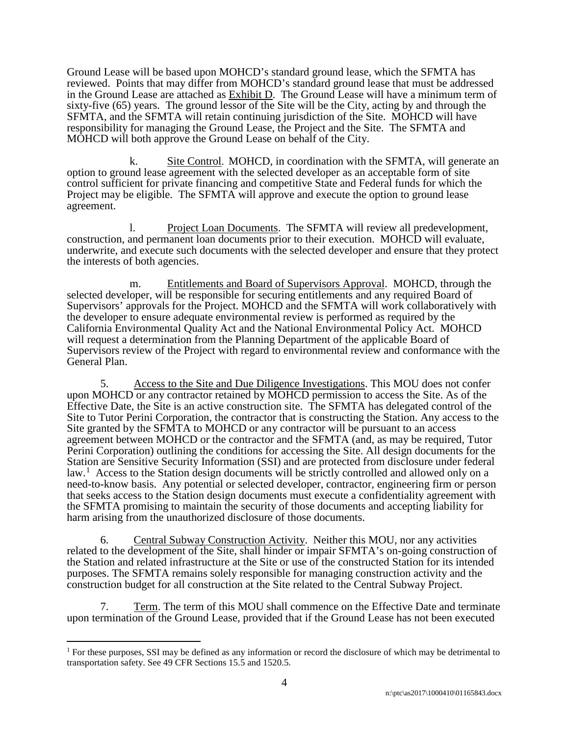Ground Lease will be based upon MOHCD's standard ground lease, which the SFMTA has reviewed. Points that may differ from MOHCD's standard ground lease that must be addressed in the Ground Lease are attached as Exhibit D. The Ground Lease will have a minimum term of sixty-five (65) years. The ground lessor of the Site will be the City, acting by and through the SFMTA, and the SFMTA will retain continuing jurisdiction of the Site. MOHCD will have responsibility for managing the Ground Lease, the Project and the Site. The SFMTA and MOHCD will both approve the Ground Lease on behalf of the City.

k. Site Control. MOHCD, in coordination with the SFMTA, will generate an option to ground lease agreement with the selected developer as an acceptable form of site control sufficient for private financing and competitive State and Federal funds for which the Project may be eligible. The SFMTA will approve and execute the option to ground lease agreement.

l. Project Loan Documents. The SFMTA will review all predevelopment, construction, and permanent loan documents prior to their execution. MOHCD will evaluate, underwrite, and execute such documents with the selected developer and ensure that they protect the interests of both agencies.

m. Entitlements and Board of Supervisors Approval. MOHCD, through the selected developer, will be responsible for securing entitlements and any required Board of Supervisors' approvals for the Project. MOHCD and the SFMTA will work collaboratively with the developer to ensure adequate environmental review is performed as required by the California Environmental Quality Act and the National Environmental Policy Act. MOHCD will request a determination from the Planning Department of the applicable Board of Supervisors review of the Project with regard to environmental review and conformance with the General Plan.

5. Access to the Site and Due Diligence Investigations. This MOU does not confer upon MOHCD or any contractor retained by MOHCD permission to access the Site. As of the Effective Date, the Site is an active construction site. The SFMTA has delegated control of the Site to Tutor Perini Corporation, the contractor that is constructing the Station. Any access to the Site granted by the SFMTA to MOHCD or any contractor will be pursuant to an access agreement between MOHCD or the contractor and the SFMTA (and, as may be required, Tutor Perini Corporation) outlining the conditions for accessing the Site. All design documents for the Station are Sensitive Security Information (SSI) and are protected from disclosure under federal law.<sup>1</sup> Access to the Station design documents will be strictly controlled and allowed only on a need-to-know basis. Any potential or selected developer, contractor, engineering firm or person that seeks access to the Station design documents must execute a confidentiality agreement with the SFMTA promising to maintain the security of those documents and accepting liability for harm arising from the unauthorized disclosure of those documents.

6. Central Subway Construction Activity. Neither this MOU, nor any activities related to the development of the Site, shall hinder or impair SFMTA's on-going construction of the Station and related infrastructure at the Site or use of the constructed Station for its intended purposes. The SFMTA remains solely responsible for managing construction activity and the construction budget for all construction at the Site related to the Central Subway Project.

7. Term. The term of this MOU shall commence on the Effective Date and terminate upon termination of the Ground Lease, provided that if the Ground Lease has not been executed

<sup>&</sup>lt;sup>1</sup> For these purposes, SSI may be defined as any information or record the disclosure of which may be detrimental to transportation safety. See 49 CFR Sections 15.5 and 1520.5.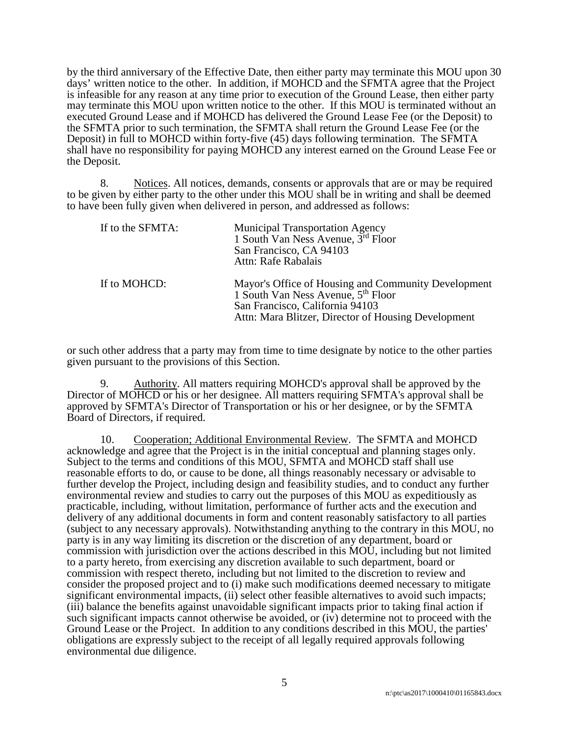by the third anniversary of the Effective Date, then either party may terminate this MOU upon 30 days' written notice to the other. In addition, if MOHCD and the SFMTA agree that the Project is infeasible for any reason at any time prior to execution of the Ground Lease, then either party may terminate this MOU upon written notice to the other. If this MOU is terminated without an executed Ground Lease and if MOHCD has delivered the Ground Lease Fee (or the Deposit) to the SFMTA prior to such termination, the SFMTA shall return the Ground Lease Fee (or the Deposit) in full to MOHCD within forty-five (45) days following termination. The SFMTA shall have no responsibility for paying MOHCD any interest earned on the Ground Lease Fee or the Deposit.

8. Notices. All notices, demands, consents or approvals that are or may be required to be given by either party to the other under this MOU shall be in writing and shall be deemed to have been fully given when delivered in person, and addressed as follows:

| If to the SFMTA: | Municipal Transportation Agency<br>1 South Van Ness Avenue, 3 <sup>rd</sup> Floor<br>San Francisco, CA 94103<br>Attn: Rafe Rabalais                                                             |
|------------------|-------------------------------------------------------------------------------------------------------------------------------------------------------------------------------------------------|
| If to MOHCD:     | Mayor's Office of Housing and Community Development<br>1 South Van Ness Avenue, 5 <sup>th</sup> Floor<br>San Francisco, California 94103<br>Attn: Mara Blitzer, Director of Housing Development |

or such other address that a party may from time to time designate by notice to the other parties given pursuant to the provisions of this Section.

9. Authority. All matters requiring MOHCD's approval shall be approved by the Director of MOHCD or his or her designee. All matters requiring SFMTA's approval shall be approved by SFMTA's Director of Transportation or his or her designee, or by the SFMTA Board of Directors, if required.

10. Cooperation; Additional Environmental Review. The SFMTA and MOHCD acknowledge and agree that the Project is in the initial conceptual and planning stages only. Subject to the terms and conditions of this MOU, SFMTA and MOHCD staff shall use reasonable efforts to do, or cause to be done, all things reasonably necessary or advisable to further develop the Project, including design and feasibility studies, and to conduct any further environmental review and studies to carry out the purposes of this MOU as expeditiously as practicable, including, without limitation, performance of further acts and the execution and delivery of any additional documents in form and content reasonably satisfactory to all parties (subject to any necessary approvals). Notwithstanding anything to the contrary in this MOU, no party is in any way limiting its discretion or the discretion of any department, board or commission with jurisdiction over the actions described in this MOU, including but not limited to a party hereto, from exercising any discretion available to such department, board or commission with respect thereto, including but not limited to the discretion to review and consider the proposed project and to (i) make such modifications deemed necessary to mitigate significant environmental impacts, (ii) select other feasible alternatives to avoid such impacts; (iii) balance the benefits against unavoidable significant impacts prior to taking final action if such significant impacts cannot otherwise be avoided, or (iv) determine not to proceed with the Ground Lease or the Project. In addition to any conditions described in this MOU, the parties' obligations are expressly subject to the receipt of all legally required approvals following environmental due diligence.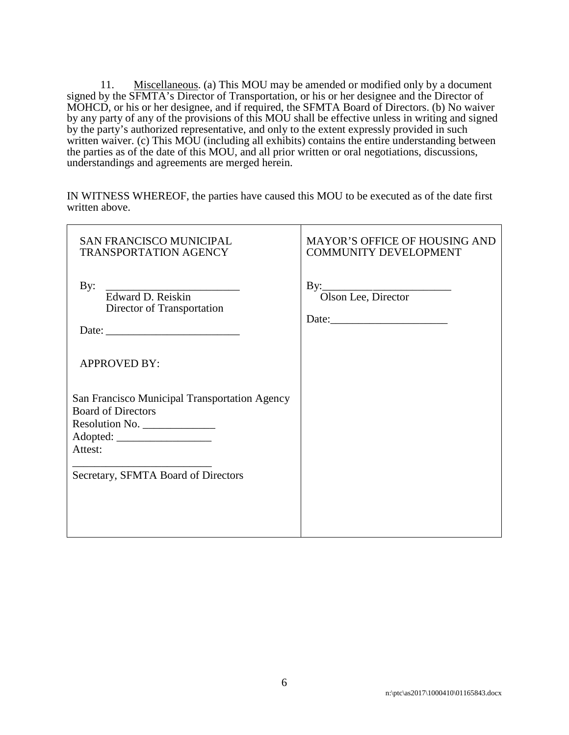11. Miscellaneous. (a) This MOU may be amended or modified only by a document signed by the SFMTA's Director of Transportation, or his or her designee and the Director of MOHCD, or his or her designee, and if required, the SFMTA Board of Directors. (b) No waiver by any party of any of the provisions of this MOU shall be effective unless in writing and signed by the party's authorized representative, and only to the extent expressly provided in such written waiver. (c) This MOU (including all exhibits) contains the entire understanding between the parties as of the date of this MOU, and all prior written or oral negotiations, discussions, understandings and agreements are merged herein.

IN WITNESS WHEREOF, the parties have caused this MOU to be executed as of the date first written above.

| <b>SAN FRANCISCO MUNICIPAL</b><br><b>TRANSPORTATION AGENCY</b>                                                                                 | <b>MAYOR'S OFFICE OF HOUSING AND</b><br><b>COMMUNITY DEVELOPMENT</b> |  |
|------------------------------------------------------------------------------------------------------------------------------------------------|----------------------------------------------------------------------|--|
| By:<br>Edward D. Reiskin<br>Director of Transportation                                                                                         | By: Olson Lee, Director                                              |  |
| <b>APPROVED BY:</b>                                                                                                                            |                                                                      |  |
| San Francisco Municipal Transportation Agency<br><b>Board of Directors</b><br>Resolution No.<br>Attest:<br>Secretary, SFMTA Board of Directors |                                                                      |  |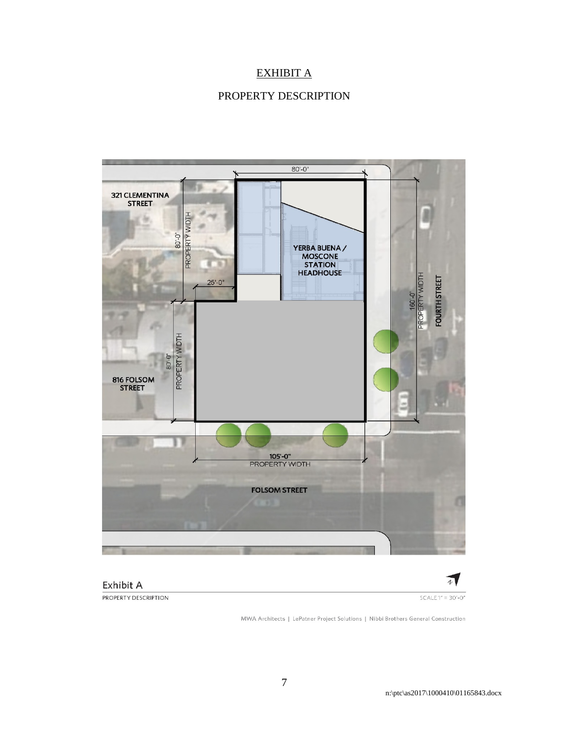# EXHIBIT A

# PROPERTY DESCRIPTION





 $SCALE 1" = 30'-0"$ 

 $\overline{A}$ 

PROPERTY DESCRIPTION

Exhibit A

MWA Architects | LePatner Project Solutions | Nibbi Brothers General Construction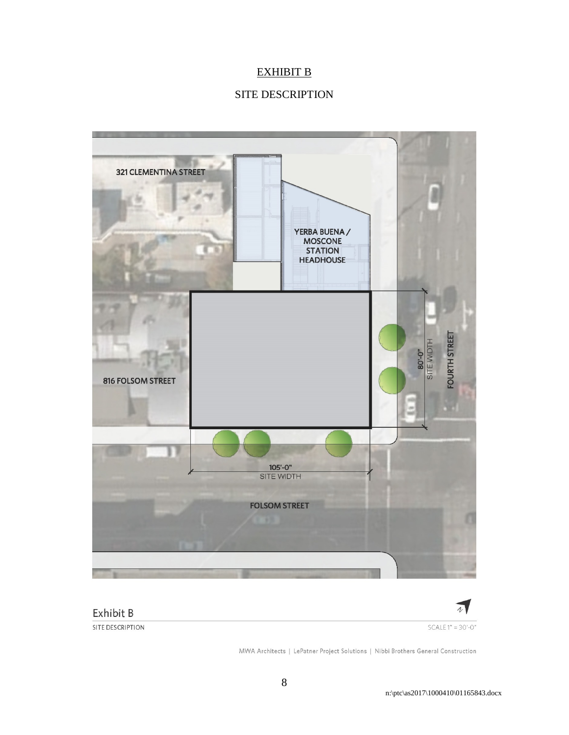# EXHIBIT B

# SITE DESCRIPTION





MWA Architects | LePatner Project Solutions | Nibbi Brothers General Construction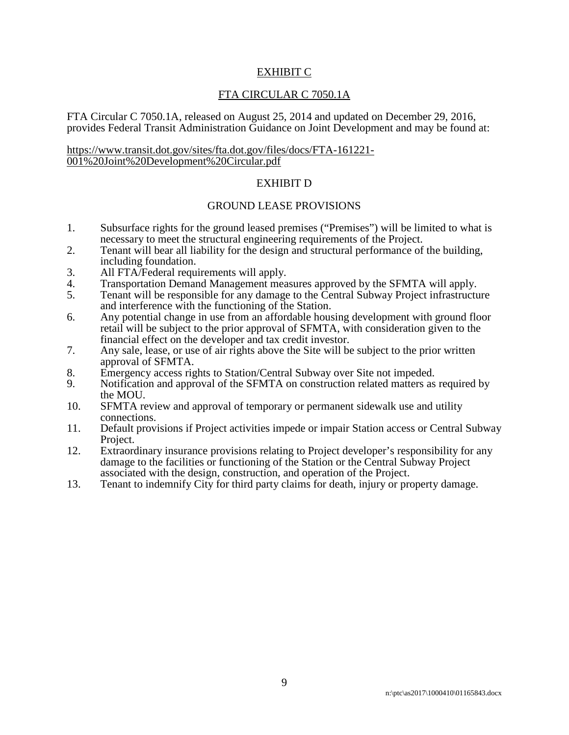#### EXHIBIT C

#### FTA CIRCULAR C 7050.1A

FTA Circular C 7050.1A, released on August 25, 2014 and updated on December 29, 2016, provides Federal Transit Administration Guidance on Joint Development and may be found at:

# https://www.transit.dot.gov/sites/fta.dot.gov/files/docs/FTA-161221- 001%20Joint%20Development%20Circular.pdf

#### EXHIBIT D

#### GROUND LEASE PROVISIONS

- 1. Subsurface rights for the ground leased premises ("Premises") will be limited to what is necessary to meet the structural engineering requirements of the Project.
- 2. Tenant will bear all liability for the design and structural performance of the building, including foundation.
- 3. All FTA/Federal requirements will apply.
- 4. Transportation Demand Management measures approved by the SFMTA will apply.
- 5. Tenant will be responsible for any damage to the Central Subway Project infrastructure and interference with the functioning of the Station.
- 6. Any potential change in use from an affordable housing development with ground floor retail will be subject to the prior approval of SFMTA, with consideration given to the financial effect on the developer and tax credit investor.
- 7. Any sale, lease, or use of air rights above the Site will be subject to the prior written approval of SFMTA.
- 8. Emergency access rights to Station/Central Subway over Site not impeded.
- 9. Notification and approval of the SFMTA on construction related matters as required by the MOU.
- 10. SFMTA review and approval of temporary or permanent sidewalk use and utility connections.
- 11. Default provisions if Project activities impede or impair Station access or Central Subway Project.
- 12. Extraordinary insurance provisions relating to Project developer's responsibility for any damage to the facilities or functioning of the Station or the Central Subway Project associated with the design, construction, and operation of the Project.
- 13. Tenant to indemnify City for third party claims for death, injury or property damage.